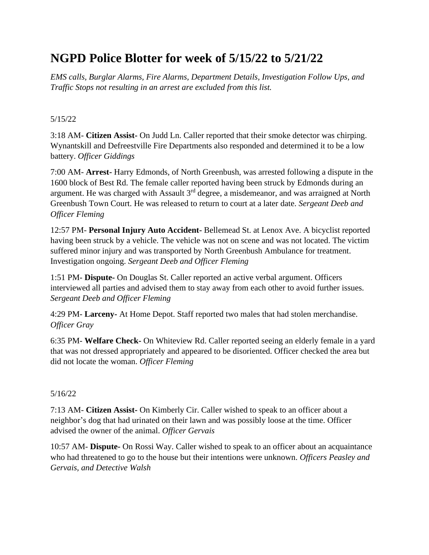# **NGPD Police Blotter for week of 5/15/22 to 5/21/22**

*EMS calls, Burglar Alarms, Fire Alarms, Department Details, Investigation Follow Ups, and Traffic Stops not resulting in an arrest are excluded from this list.*

## 5/15/22

3:18 AM- **Citizen Assist-** On Judd Ln. Caller reported that their smoke detector was chirping. Wynantskill and Defreestville Fire Departments also responded and determined it to be a low battery. *Officer Giddings*

7:00 AM- **Arrest-** Harry Edmonds, of North Greenbush, was arrested following a dispute in the 1600 block of Best Rd. The female caller reported having been struck by Edmonds during an argument. He was charged with Assault 3<sup>rd</sup> degree, a misdemeanor, and was arraigned at North Greenbush Town Court. He was released to return to court at a later date. *Sergeant Deeb and Officer Fleming*

12:57 PM- **Personal Injury Auto Accident-** Bellemead St. at Lenox Ave. A bicyclist reported having been struck by a vehicle. The vehicle was not on scene and was not located. The victim suffered minor injury and was transported by North Greenbush Ambulance for treatment. Investigation ongoing. *Sergeant Deeb and Officer Fleming*

1:51 PM- **Dispute-** On Douglas St. Caller reported an active verbal argument. Officers interviewed all parties and advised them to stay away from each other to avoid further issues. *Sergeant Deeb and Officer Fleming*

4:29 PM- **Larceny-** At Home Depot. Staff reported two males that had stolen merchandise. *Officer Gray*

6:35 PM- **Welfare Check-** On Whiteview Rd. Caller reported seeing an elderly female in a yard that was not dressed appropriately and appeared to be disoriented. Officer checked the area but did not locate the woman. *Officer Fleming*

## 5/16/22

7:13 AM- **Citizen Assist-** On Kimberly Cir. Caller wished to speak to an officer about a neighbor's dog that had urinated on their lawn and was possibly loose at the time. Officer advised the owner of the animal. *Officer Gervais*

10:57 AM- **Dispute-** On Rossi Way. Caller wished to speak to an officer about an acquaintance who had threatened to go to the house but their intentions were unknown. *Officers Peasley and Gervais, and Detective Walsh*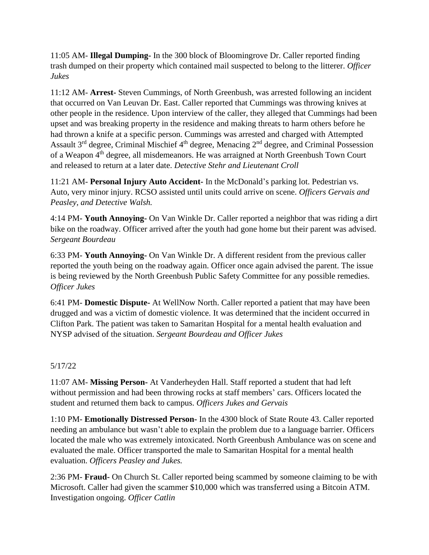11:05 AM- **Illegal Dumping-** In the 300 block of Bloomingrove Dr. Caller reported finding trash dumped on their property which contained mail suspected to belong to the litterer. *Officer Jukes*

11:12 AM- **Arrest-** Steven Cummings, of North Greenbush, was arrested following an incident that occurred on Van Leuvan Dr. East. Caller reported that Cummings was throwing knives at other people in the residence. Upon interview of the caller, they alleged that Cummings had been upset and was breaking property in the residence and making threats to harm others before he had thrown a knife at a specific person. Cummings was arrested and charged with Attempted Assault 3<sup>rd</sup> degree, Criminal Mischief 4<sup>th</sup> degree, Menacing 2<sup>nd</sup> degree, and Criminal Possession of a Weapon 4<sup>th</sup> degree, all misdemeanors. He was arraigned at North Greenbush Town Court and released to return at a later date. *Detective Stehr and Lieutenant Croll*

11:21 AM- **Personal Injury Auto Accident-** In the McDonald's parking lot. Pedestrian vs. Auto, very minor injury. RCSO assisted until units could arrive on scene. *Officers Gervais and Peasley, and Detective Walsh.* 

4:14 PM- **Youth Annoying-** On Van Winkle Dr. Caller reported a neighbor that was riding a dirt bike on the roadway. Officer arrived after the youth had gone home but their parent was advised. *Sergeant Bourdeau*

6:33 PM- **Youth Annoying-** On Van Winkle Dr. A different resident from the previous caller reported the youth being on the roadway again. Officer once again advised the parent. The issue is being reviewed by the North Greenbush Public Safety Committee for any possible remedies. *Officer Jukes*

6:41 PM- **Domestic Dispute-** At WellNow North. Caller reported a patient that may have been drugged and was a victim of domestic violence. It was determined that the incident occurred in Clifton Park. The patient was taken to Samaritan Hospital for a mental health evaluation and NYSP advised of the situation. *Sergeant Bourdeau and Officer Jukes*

## 5/17/22

11:07 AM- **Missing Person-** At Vanderheyden Hall. Staff reported a student that had left without permission and had been throwing rocks at staff members' cars. Officers located the student and returned them back to campus. *Officers Jukes and Gervais*

1:10 PM- **Emotionally Distressed Person-** In the 4300 block of State Route 43. Caller reported needing an ambulance but wasn't able to explain the problem due to a language barrier. Officers located the male who was extremely intoxicated. North Greenbush Ambulance was on scene and evaluated the male. Officer transported the male to Samaritan Hospital for a mental health evaluation. *Officers Peasley and Jukes.*

2:36 PM- **Fraud-** On Church St. Caller reported being scammed by someone claiming to be with Microsoft. Caller had given the scammer \$10,000 which was transferred using a Bitcoin ATM. Investigation ongoing. *Officer Catlin*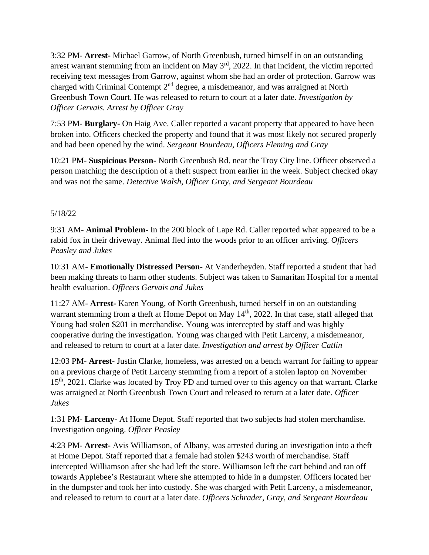3:32 PM- **Arrest-** Michael Garrow, of North Greenbush, turned himself in on an outstanding arrest warrant stemming from an incident on May 3rd, 2022. In that incident, the victim reported receiving text messages from Garrow, against whom she had an order of protection. Garrow was charged with Criminal Contempt 2<sup>nd</sup> degree, a misdemeanor, and was arraigned at North Greenbush Town Court. He was released to return to court at a later date. *Investigation by Officer Gervais. Arrest by Officer Gray*

7:53 PM- **Burglary-** On Haig Ave. Caller reported a vacant property that appeared to have been broken into. Officers checked the property and found that it was most likely not secured properly and had been opened by the wind. *Sergeant Bourdeau, Officers Fleming and Gray*

10:21 PM- **Suspicious Person-** North Greenbush Rd. near the Troy City line. Officer observed a person matching the description of a theft suspect from earlier in the week. Subject checked okay and was not the same. *Detective Walsh, Officer Gray, and Sergeant Bourdeau*

### 5/18/22

9:31 AM- **Animal Problem-** In the 200 block of Lape Rd. Caller reported what appeared to be a rabid fox in their driveway. Animal fled into the woods prior to an officer arriving. *Officers Peasley and Jukes*

10:31 AM- **Emotionally Distressed Person-** At Vanderheyden. Staff reported a student that had been making threats to harm other students. Subject was taken to Samaritan Hospital for a mental health evaluation. *Officers Gervais and Jukes*

11:27 AM- **Arrest-** Karen Young, of North Greenbush, turned herself in on an outstanding warrant stemming from a theft at Home Depot on May 14<sup>th</sup>, 2022. In that case, staff alleged that Young had stolen \$201 in merchandise. Young was intercepted by staff and was highly cooperative during the investigation. Young was charged with Petit Larceny, a misdemeanor, and released to return to court at a later date. *Investigation and arrest by Officer Catlin*

12:03 PM- **Arrest-** Justin Clarke, homeless, was arrested on a bench warrant for failing to appear on a previous charge of Petit Larceny stemming from a report of a stolen laptop on November 15<sup>th</sup>, 2021. Clarke was located by Troy PD and turned over to this agency on that warrant. Clarke was arraigned at North Greenbush Town Court and released to return at a later date. *Officer Jukes*

1:31 PM- **Larceny-** At Home Depot. Staff reported that two subjects had stolen merchandise. Investigation ongoing. *Officer Peasley*

4:23 PM- **Arrest-** Avis Williamson, of Albany, was arrested during an investigation into a theft at Home Depot. Staff reported that a female had stolen \$243 worth of merchandise. Staff intercepted Williamson after she had left the store. Williamson left the cart behind and ran off towards Applebee's Restaurant where she attempted to hide in a dumpster. Officers located her in the dumpster and took her into custody. She was charged with Petit Larceny, a misdemeanor, and released to return to court at a later date. *Officers Schrader, Gray, and Sergeant Bourdeau*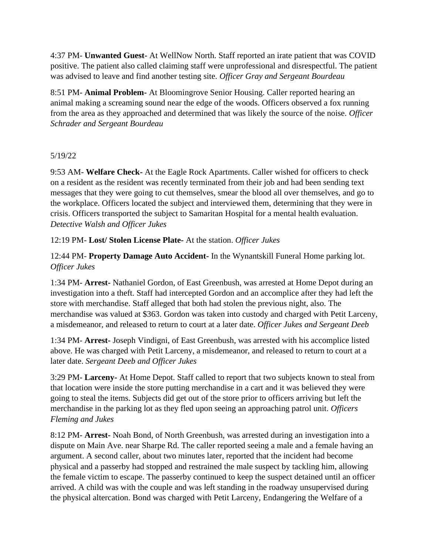4:37 PM- **Unwanted Guest-** At WellNow North. Staff reported an irate patient that was COVID positive. The patient also called claiming staff were unprofessional and disrespectful. The patient was advised to leave and find another testing site. *Officer Gray and Sergeant Bourdeau*

8:51 PM- **Animal Problem-** At Bloomingrove Senior Housing. Caller reported hearing an animal making a screaming sound near the edge of the woods. Officers observed a fox running from the area as they approached and determined that was likely the source of the noise. *Officer Schrader and Sergeant Bourdeau*

## 5/19/22

9:53 AM- **Welfare Check-** At the Eagle Rock Apartments. Caller wished for officers to check on a resident as the resident was recently terminated from their job and had been sending text messages that they were going to cut themselves, smear the blood all over themselves, and go to the workplace. Officers located the subject and interviewed them, determining that they were in crisis. Officers transported the subject to Samaritan Hospital for a mental health evaluation. *Detective Walsh and Officer Jukes*

### 12:19 PM- **Lost/ Stolen License Plate-** At the station. *Officer Jukes*

12:44 PM- **Property Damage Auto Accident-** In the Wynantskill Funeral Home parking lot. *Officer Jukes*

1:34 PM- **Arrest-** Nathaniel Gordon, of East Greenbush, was arrested at Home Depot during an investigation into a theft. Staff had intercepted Gordon and an accomplice after they had left the store with merchandise. Staff alleged that both had stolen the previous night, also. The merchandise was valued at \$363. Gordon was taken into custody and charged with Petit Larceny, a misdemeanor, and released to return to court at a later date. *Officer Jukes and Sergeant Deeb*

1:34 PM- **Arrest-** Joseph Vindigni, of East Greenbush, was arrested with his accomplice listed above. He was charged with Petit Larceny, a misdemeanor, and released to return to court at a later date. *Sergeant Deeb and Officer Jukes*

3:29 PM- **Larceny-** At Home Depot. Staff called to report that two subjects known to steal from that location were inside the store putting merchandise in a cart and it was believed they were going to steal the items. Subjects did get out of the store prior to officers arriving but left the merchandise in the parking lot as they fled upon seeing an approaching patrol unit. *Officers Fleming and Jukes*

8:12 PM- **Arrest-** Noah Bond, of North Greenbush, was arrested during an investigation into a dispute on Main Ave. near Sharpe Rd. The caller reported seeing a male and a female having an argument. A second caller, about two minutes later, reported that the incident had become physical and a passerby had stopped and restrained the male suspect by tackling him, allowing the female victim to escape. The passerby continued to keep the suspect detained until an officer arrived. A child was with the couple and was left standing in the roadway unsupervised during the physical altercation. Bond was charged with Petit Larceny, Endangering the Welfare of a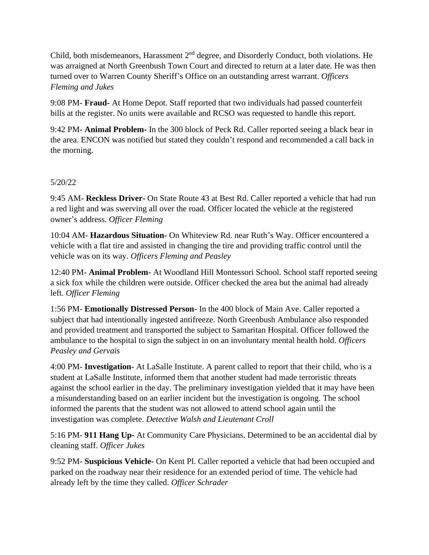Child, both misdemeanors, Harassment  $2<sup>nd</sup>$  degree, and Disorderly Conduct, both violations. He was arraigned at North Greenbush Town Court and directed to return at a later date. He was then turned over to Warren County Sheriff's Office on an outstanding arrest warrant. *Officers Fleming and Jukes*

9:08 PM- **Fraud-** At Home Depot. Staff reported that two individuals had passed counterfeit bills at the register. No units were available and RCSO was requested to handle this report.

9:42 PM- **Animal Problem-** In the 300 block of Peck Rd. Caller reported seeing a black bear in the area. ENCON was notified but stated they couldn't respond and recommended a call back in the morning.

#### 5/20/22

9:45 AM- **Reckless Driver-** On State Route 43 at Best Rd. Caller reported a vehicle that had run a red light and was swerving all over the road. Officer located the vehicle at the registered owner's address. *Officer Fleming*

10:04 AM- **Hazardous Situation-** On Whiteview Rd. near Ruth's Way. Officer encountered a vehicle with a flat tire and assisted in changing the tire and providing traffic control until the vehicle was on its way. *Officers Fleming and Peasley*

12:40 PM- **Animal Problem-** At Woodland Hill Montessori School. School staff reported seeing a sick fox while the children were outside. Officer checked the area but the animal had already left. *Officer Fleming*

1:56 PM- **Emotionally Distressed Person-** In the 400 block of Main Ave. Caller reported a subject that had intentionally ingested antifreeze. North Greenbush Ambulance also responded and provided treatment and transported the subject to Samaritan Hospital. Officer followed the ambulance to the hospital to sign the subject in on an involuntary mental health hold. *Officers Peasley and Gervais*

4:00 PM- **Investigation-** At LaSalle Institute. A parent called to report that their child, who is a student at LaSalle Institute, informed them that another student had made terroristic threats against the school earlier in the day. The preliminary investigation yielded that it may have been a misunderstanding based on an earlier incident but the investigation is ongoing. The school informed the parents that the student was not allowed to attend school again until the investigation was complete. *Detective Walsh and Lieutenant Croll*

5:16 PM- **911 Hang Up-** At Community Care Physicians. Determined to be an accidental dial by cleaning staff. *Officer Jukes*

9:52 PM- **Suspicious Vehicle-** On Kent Pl. Caller reported a vehicle that had been occupied and parked on the roadway near their residence for an extended period of time. The vehicle had already left by the time they called. *Officer Schrader*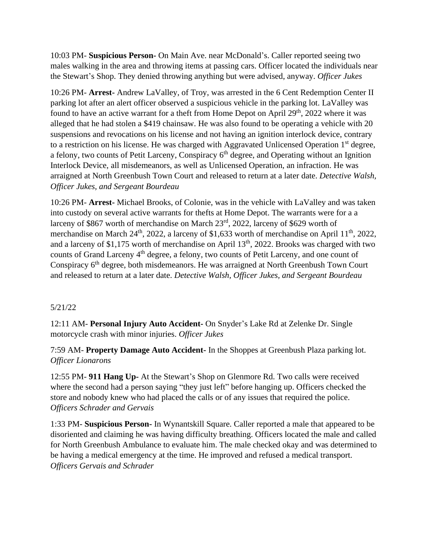10:03 PM- **Suspicious Person-** On Main Ave. near McDonald's. Caller reported seeing two males walking in the area and throwing items at passing cars. Officer located the individuals near the Stewart's Shop. They denied throwing anything but were advised, anyway. *Officer Jukes*

10:26 PM- **Arrest-** Andrew LaValley, of Troy, was arrested in the 6 Cent Redemption Center II parking lot after an alert officer observed a suspicious vehicle in the parking lot. LaValley was found to have an active warrant for a theft from Home Depot on April  $29<sup>th</sup>$ , 2022 where it was alleged that he had stolen a \$419 chainsaw. He was also found to be operating a vehicle with 20 suspensions and revocations on his license and not having an ignition interlock device, contrary to a restriction on his license. He was charged with Aggravated Unlicensed Operation 1<sup>st</sup> degree, a felony, two counts of Petit Larceny, Conspiracy  $6<sup>th</sup>$  degree, and Operating without an Ignition Interlock Device, all misdemeanors, as well as Unlicensed Operation, an infraction. He was arraigned at North Greenbush Town Court and released to return at a later date. *Detective Walsh, Officer Jukes, and Sergeant Bourdeau*

10:26 PM- **Arrest-** Michael Brooks, of Colonie, was in the vehicle with LaValley and was taken into custody on several active warrants for thefts at Home Depot. The warrants were for a a larceny of \$867 worth of merchandise on March 23rd, 2022, larceny of \$629 worth of merchandise on March  $24<sup>th</sup>$ , 2022, a larceny of \$1,633 worth of merchandise on April  $11<sup>th</sup>$ , 2022, and a larceny of \$1,175 worth of merchandise on April  $13<sup>th</sup>$ , 2022. Brooks was charged with two counts of Grand Larceny 4<sup>th</sup> degree, a felony, two counts of Petit Larceny, and one count of Conspiracy 6<sup>th</sup> degree, both misdemeanors. He was arraigned at North Greenbush Town Court and released to return at a later date. *Detective Walsh, Officer Jukes, and Sergeant Bourdeau*

## 5/21/22

12:11 AM- **Personal Injury Auto Accident-** On Snyder's Lake Rd at Zelenke Dr. Single motorcycle crash with minor injuries. *Officer Jukes*

7:59 AM- **Property Damage Auto Accident-** In the Shoppes at Greenbush Plaza parking lot. *Officer Lionarons*

12:55 PM- **911 Hang Up-** At the Stewart's Shop on Glenmore Rd. Two calls were received where the second had a person saying "they just left" before hanging up. Officers checked the store and nobody knew who had placed the calls or of any issues that required the police. *Officers Schrader and Gervais*

1:33 PM- **Suspicious Person-** In Wynantskill Square. Caller reported a male that appeared to be disoriented and claiming he was having difficulty breathing. Officers located the male and called for North Greenbush Ambulance to evaluate him. The male checked okay and was determined to be having a medical emergency at the time. He improved and refused a medical transport. *Officers Gervais and Schrader*